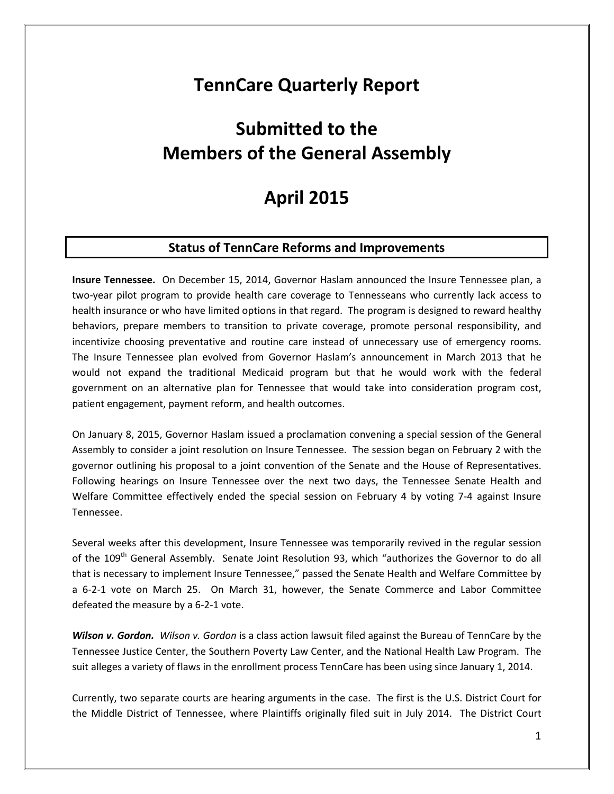## **TennCare Quarterly Report**

# **Submitted to the Members of the General Assembly**

## **April 2015**

## **Status of TennCare Reforms and Improvements**

**Insure Tennessee.** On December 15, 2014, Governor Haslam announced the Insure Tennessee plan, a two-year pilot program to provide health care coverage to Tennesseans who currently lack access to health insurance or who have limited options in that regard. The program is designed to reward healthy behaviors, prepare members to transition to private coverage, promote personal responsibility, and incentivize choosing preventative and routine care instead of unnecessary use of emergency rooms. The Insure Tennessee plan evolved from Governor Haslam's announcement in March 2013 that he would not expand the traditional Medicaid program but that he would work with the federal government on an alternative plan for Tennessee that would take into consideration program cost, patient engagement, payment reform, and health outcomes.

On January 8, 2015, Governor Haslam issued a proclamation convening a special session of the General Assembly to consider a joint resolution on Insure Tennessee. The session began on February 2 with the governor outlining his proposal to a joint convention of the Senate and the House of Representatives. Following hearings on Insure Tennessee over the next two days, the Tennessee Senate Health and Welfare Committee effectively ended the special session on February 4 by voting 7-4 against Insure Tennessee.

Several weeks after this development, Insure Tennessee was temporarily revived in the regular session of the 109<sup>th</sup> General Assembly. Senate Joint Resolution 93, which "authorizes the Governor to do all that is necessary to implement Insure Tennessee," passed the Senate Health and Welfare Committee by a 6-2-1 vote on March 25. On March 31, however, the Senate Commerce and Labor Committee defeated the measure by a 6-2-1 vote.

*Wilson v. Gordon. Wilson v. Gordon* is a class action lawsuit filed against the Bureau of TennCare by the Tennessee Justice Center, the Southern Poverty Law Center, and the National Health Law Program. The suit alleges a variety of flaws in the enrollment process TennCare has been using since January 1, 2014.

Currently, two separate courts are hearing arguments in the case. The first is the U.S. District Court for the Middle District of Tennessee, where Plaintiffs originally filed suit in July 2014. The District Court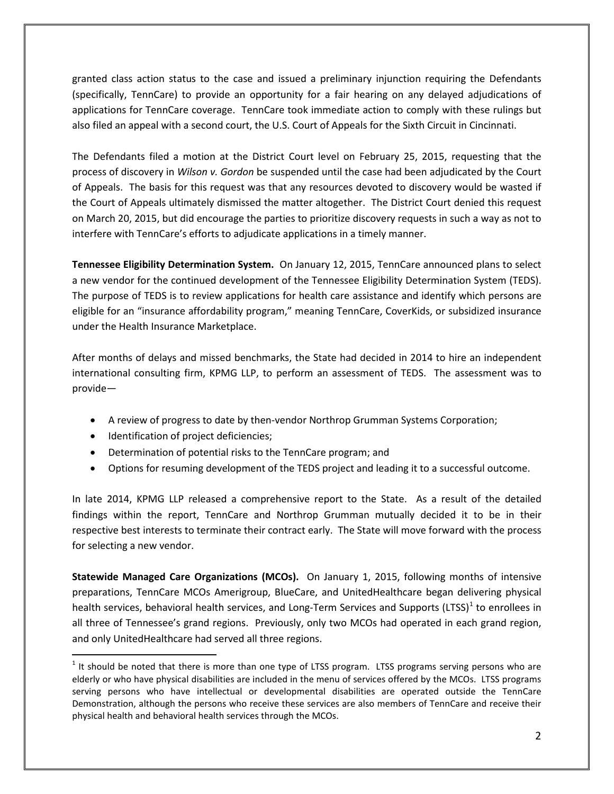granted class action status to the case and issued a preliminary injunction requiring the Defendants (specifically, TennCare) to provide an opportunity for a fair hearing on any delayed adjudications of applications for TennCare coverage. TennCare took immediate action to comply with these rulings but also filed an appeal with a second court, the U.S. Court of Appeals for the Sixth Circuit in Cincinnati.

The Defendants filed a motion at the District Court level on February 25, 2015, requesting that the process of discovery in *Wilson v. Gordon* be suspended until the case had been adjudicated by the Court of Appeals. The basis for this request was that any resources devoted to discovery would be wasted if the Court of Appeals ultimately dismissed the matter altogether. The District Court denied this request on March 20, 2015, but did encourage the parties to prioritize discovery requests in such a way as not to interfere with TennCare's efforts to adjudicate applications in a timely manner.

**Tennessee Eligibility Determination System.** On January 12, 2015, TennCare announced plans to select a new vendor for the continued development of the Tennessee Eligibility Determination System (TEDS). The purpose of TEDS is to review applications for health care assistance and identify which persons are eligible for an "insurance affordability program," meaning TennCare, CoverKids, or subsidized insurance under the Health Insurance Marketplace.

After months of delays and missed benchmarks, the State had decided in 2014 to hire an independent international consulting firm, KPMG LLP, to perform an assessment of TEDS. The assessment was to provide—

- A review of progress to date by then-vendor Northrop Grumman Systems Corporation;
- Identification of project deficiencies;

 $\overline{a}$ 

- Determination of potential risks to the TennCare program; and
- Options for resuming development of the TEDS project and leading it to a successful outcome.

In late 2014, KPMG LLP released a comprehensive report to the State. As a result of the detailed findings within the report, TennCare and Northrop Grumman mutually decided it to be in their respective best interests to terminate their contract early. The State will move forward with the process for selecting a new vendor.

**Statewide Managed Care Organizations (MCOs).** On January 1, 2015, following months of intensive preparations, TennCare MCOs Amerigroup, BlueCare, and UnitedHealthcare began delivering physical health services, behavioral health services, and Long-Term Services and Supports (LTSS) $1$  to enrollees in all three of Tennessee's grand regions. Previously, only two MCOs had operated in each grand region, and only UnitedHealthcare had served all three regions.

<span id="page-1-0"></span> $<sup>1</sup>$  It should be noted that there is more than one type of LTSS program. LTSS programs serving persons who are</sup> elderly or who have physical disabilities are included in the menu of services offered by the MCOs. LTSS programs serving persons who have intellectual or developmental disabilities are operated outside the TennCare Demonstration, although the persons who receive these services are also members of TennCare and receive their physical health and behavioral health services through the MCOs.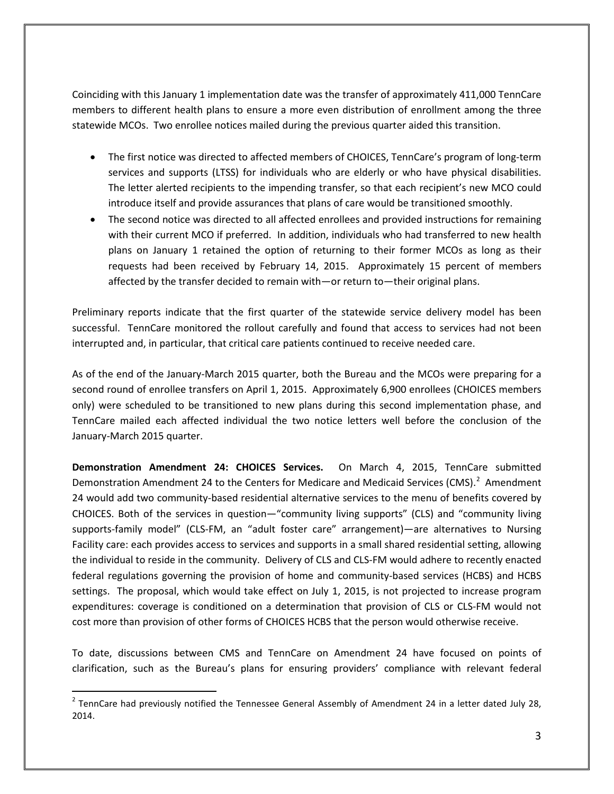Coinciding with this January 1 implementation date was the transfer of approximately 411,000 TennCare members to different health plans to ensure a more even distribution of enrollment among the three statewide MCOs. Two enrollee notices mailed during the previous quarter aided this transition.

- The first notice was directed to affected members of CHOICES, TennCare's program of long-term services and supports (LTSS) for individuals who are elderly or who have physical disabilities. The letter alerted recipients to the impending transfer, so that each recipient's new MCO could introduce itself and provide assurances that plans of care would be transitioned smoothly.
- The second notice was directed to all affected enrollees and provided instructions for remaining with their current MCO if preferred. In addition, individuals who had transferred to new health plans on January 1 retained the option of returning to their former MCOs as long as their requests had been received by February 14, 2015. Approximately 15 percent of members affected by the transfer decided to remain with—or return to—their original plans.

Preliminary reports indicate that the first quarter of the statewide service delivery model has been successful. TennCare monitored the rollout carefully and found that access to services had not been interrupted and, in particular, that critical care patients continued to receive needed care.

As of the end of the January-March 2015 quarter, both the Bureau and the MCOs were preparing for a second round of enrollee transfers on April 1, 2015. Approximately 6,900 enrollees (CHOICES members only) were scheduled to be transitioned to new plans during this second implementation phase, and TennCare mailed each affected individual the two notice letters well before the conclusion of the January-March 2015 quarter.

**Demonstration Amendment 24: CHOICES Services.** On March 4, 2015, TennCare submitted Demonstration Amendment [2](#page-2-0)4 to the Centers for Medicare and Medicaid Services (CMS).<sup>2</sup> Amendment 24 would add two community-based residential alternative services to the menu of benefits covered by CHOICES. Both of the services in question—"community living supports" (CLS) and "community living supports-family model" (CLS-FM, an "adult foster care" arrangement)—are alternatives to Nursing Facility care: each provides access to services and supports in a small shared residential setting, allowing the individual to reside in the community. Delivery of CLS and CLS-FM would adhere to recently enacted federal regulations governing the provision of home and community-based services (HCBS) and HCBS settings. The proposal, which would take effect on July 1, 2015, is not projected to increase program expenditures: coverage is conditioned on a determination that provision of CLS or CLS-FM would not cost more than provision of other forms of CHOICES HCBS that the person would otherwise receive.

To date, discussions between CMS and TennCare on Amendment 24 have focused on points of clarification, such as the Bureau's plans for ensuring providers' compliance with relevant federal

<span id="page-2-0"></span> $2$  TennCare had previously notified the Tennessee General Assembly of Amendment 24 in a letter dated July 28, 2014.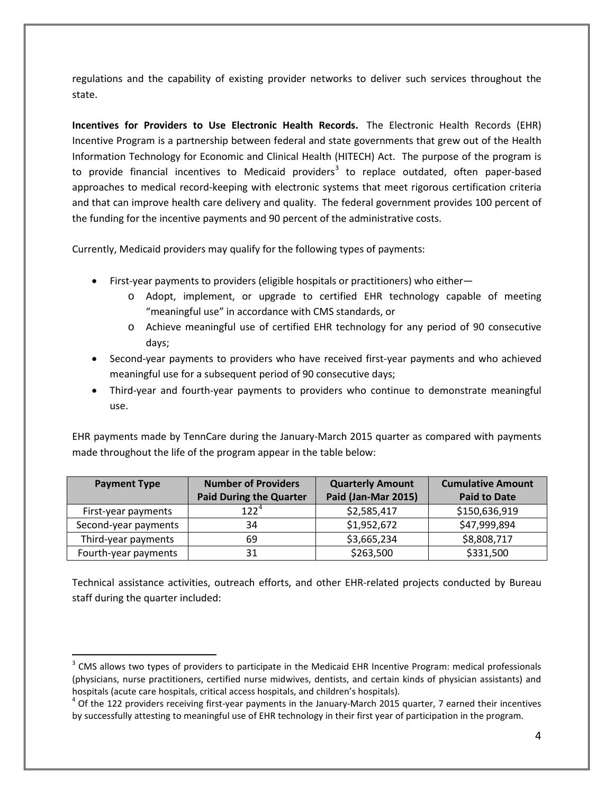regulations and the capability of existing provider networks to deliver such services throughout the state.

**Incentives for Providers to Use Electronic Health Records.** The Electronic Health Records (EHR) Incentive Program is a partnership between federal and state governments that grew out of the Health Information Technology for Economic and Clinical Health (HITECH) Act. The purpose of the program is to provide financial incentives to Medicaid providers<sup>[3](#page-3-0)</sup> to replace outdated, often paper-based approaches to medical record-keeping with electronic systems that meet rigorous certification criteria and that can improve health care delivery and quality. The federal government provides 100 percent of the funding for the incentive payments and 90 percent of the administrative costs.

Currently, Medicaid providers may qualify for the following types of payments:

- First-year payments to providers (eligible hospitals or practitioners) who either
	- o Adopt, implement, or upgrade to certified EHR technology capable of meeting "meaningful use" in accordance with CMS standards, or
	- o Achieve meaningful use of certified EHR technology for any period of 90 consecutive days;
- Second-year payments to providers who have received first-year payments and who achieved meaningful use for a subsequent period of 90 consecutive days;
- Third-year and fourth-year payments to providers who continue to demonstrate meaningful use.

EHR payments made by TennCare during the January-March 2015 quarter as compared with payments made throughout the life of the program appear in the table below:

| <b>Payment Type</b>  | <b>Number of Providers</b>     | <b>Quarterly Amount</b> | <b>Cumulative Amount</b> |
|----------------------|--------------------------------|-------------------------|--------------------------|
|                      | <b>Paid During the Quarter</b> | Paid (Jan-Mar 2015)     | <b>Paid to Date</b>      |
| First-year payments  | $122^{4}$                      | \$2,585,417             | \$150,636,919            |
| Second-year payments | 34                             | \$1,952,672             | \$47,999,894             |
| Third-year payments  | 69                             | \$3,665,234             | \$8,808,717              |
| Fourth-year payments | 31                             | \$263,500               | \$331,500                |

Technical assistance activities, outreach efforts, and other EHR-related projects conducted by Bureau staff during the quarter included:

<span id="page-3-0"></span><sup>&</sup>lt;sup>3</sup> CMS allows two types of providers to participate in the Medicaid EHR Incentive Program: medical professionals (physicians, nurse practitioners, certified nurse midwives, dentists, and certain kinds of physician assistants) and hospitals (acute care hospitals, critical access hospitals, and children's hospitals).<br><sup>4</sup> Of the 122 providers receiving first-year payments in the January-March 2015 quarter, 7 earned their incentives

<span id="page-3-1"></span>by successfully attesting to meaningful use of EHR technology in their first year of participation in the program.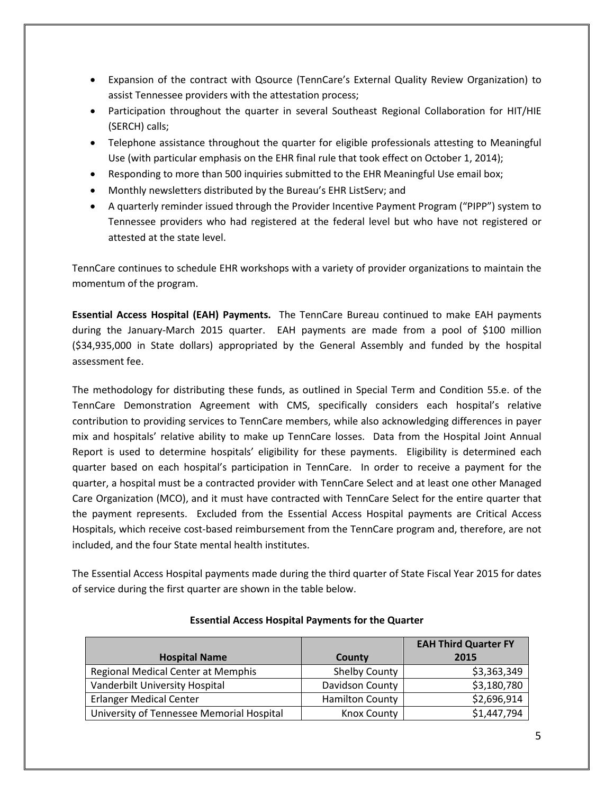- Expansion of the contract with Qsource (TennCare's External Quality Review Organization) to assist Tennessee providers with the attestation process;
- Participation throughout the quarter in several Southeast Regional Collaboration for HIT/HIE (SERCH) calls;
- Telephone assistance throughout the quarter for eligible professionals attesting to Meaningful Use (with particular emphasis on the EHR final rule that took effect on October 1, 2014);
- Responding to more than 500 inquiries submitted to the EHR Meaningful Use email box;
- Monthly newsletters distributed by the Bureau's EHR ListServ; and
- A quarterly reminder issued through the Provider Incentive Payment Program ("PIPP") system to Tennessee providers who had registered at the federal level but who have not registered or attested at the state level.

TennCare continues to schedule EHR workshops with a variety of provider organizations to maintain the momentum of the program.

**Essential Access Hospital (EAH) Payments.** The TennCare Bureau continued to make EAH payments during the January-March 2015 quarter. EAH payments are made from a pool of \$100 million (\$34,935,000 in State dollars) appropriated by the General Assembly and funded by the hospital assessment fee.

The methodology for distributing these funds, as outlined in Special Term and Condition 55.e. of the TennCare Demonstration Agreement with CMS, specifically considers each hospital's relative contribution to providing services to TennCare members, while also acknowledging differences in payer mix and hospitals' relative ability to make up TennCare losses. Data from the Hospital Joint Annual Report is used to determine hospitals' eligibility for these payments. Eligibility is determined each quarter based on each hospital's participation in TennCare. In order to receive a payment for the quarter, a hospital must be a contracted provider with TennCare Select and at least one other Managed Care Organization (MCO), and it must have contracted with TennCare Select for the entire quarter that the payment represents. Excluded from the Essential Access Hospital payments are Critical Access Hospitals, which receive cost-based reimbursement from the TennCare program and, therefore, are not included, and the four State mental health institutes.

The Essential Access Hospital payments made during the third quarter of State Fiscal Year 2015 for dates of service during the first quarter are shown in the table below.

|                                           |                        | <b>EAH Third Quarter FY</b> |
|-------------------------------------------|------------------------|-----------------------------|
| <b>Hospital Name</b>                      | County                 | 2015                        |
| Regional Medical Center at Memphis        | <b>Shelby County</b>   | \$3,363,349                 |
| Vanderbilt University Hospital            | Davidson County        | \$3,180,780                 |
| <b>Erlanger Medical Center</b>            | <b>Hamilton County</b> | \$2,696,914                 |
| University of Tennessee Memorial Hospital | <b>Knox County</b>     | \$1,447,794                 |

### **Essential Access Hospital Payments for the Quarter**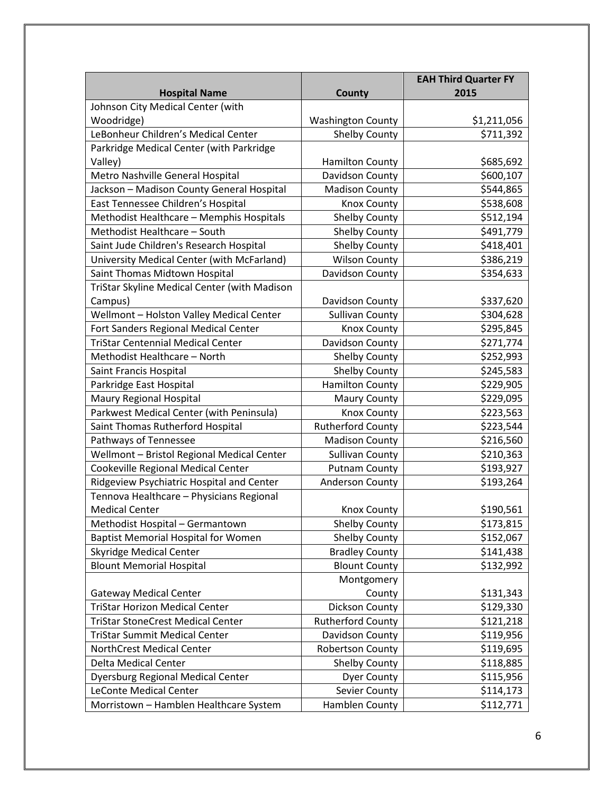|                                              |                          | <b>EAH Third Quarter FY</b> |
|----------------------------------------------|--------------------------|-----------------------------|
| <b>Hospital Name</b>                         | County                   | 2015                        |
| Johnson City Medical Center (with            |                          |                             |
| Woodridge)                                   | <b>Washington County</b> | \$1,211,056                 |
| LeBonheur Children's Medical Center          | <b>Shelby County</b>     | \$711,392                   |
| Parkridge Medical Center (with Parkridge     |                          |                             |
| Valley)                                      | <b>Hamilton County</b>   | \$685,692                   |
| Metro Nashville General Hospital             | Davidson County          | \$600,107                   |
| Jackson - Madison County General Hospital    | <b>Madison County</b>    | \$544,865                   |
| East Tennessee Children's Hospital           | Knox County              | \$538,608                   |
| Methodist Healthcare - Memphis Hospitals     | <b>Shelby County</b>     | \$512,194                   |
| Methodist Healthcare - South                 | <b>Shelby County</b>     | \$491,779                   |
| Saint Jude Children's Research Hospital      | <b>Shelby County</b>     | \$418,401                   |
| University Medical Center (with McFarland)   | <b>Wilson County</b>     | \$386,219                   |
| Saint Thomas Midtown Hospital                | Davidson County          | \$354,633                   |
| TriStar Skyline Medical Center (with Madison |                          |                             |
| Campus)                                      | Davidson County          | \$337,620                   |
| Wellmont - Holston Valley Medical Center     | <b>Sullivan County</b>   | \$304,628                   |
| Fort Sanders Regional Medical Center         | <b>Knox County</b>       | \$295,845                   |
| <b>TriStar Centennial Medical Center</b>     | Davidson County          | \$271,774                   |
| Methodist Healthcare - North                 | <b>Shelby County</b>     | \$252,993                   |
| Saint Francis Hospital                       | <b>Shelby County</b>     | \$245,583                   |
| Parkridge East Hospital                      | <b>Hamilton County</b>   | \$229,905                   |
| Maury Regional Hospital                      | <b>Maury County</b>      | \$229,095                   |
| Parkwest Medical Center (with Peninsula)     | <b>Knox County</b>       | \$223,563                   |
| Saint Thomas Rutherford Hospital             | <b>Rutherford County</b> | \$223,544                   |
| Pathways of Tennessee                        | <b>Madison County</b>    | \$216,560                   |
| Wellmont - Bristol Regional Medical Center   | <b>Sullivan County</b>   | \$210,363                   |
| Cookeville Regional Medical Center           | <b>Putnam County</b>     | \$193,927                   |
| Ridgeview Psychiatric Hospital and Center    | <b>Anderson County</b>   | \$193,264                   |
| Tennova Healthcare - Physicians Regional     |                          |                             |
| <b>Medical Center</b>                        | <b>Knox County</b>       | \$190,561                   |
| Methodist Hospital - Germantown              | Shelby County            | \$173,815                   |
| <b>Baptist Memorial Hospital for Women</b>   | <b>Shelby County</b>     | \$152,067                   |
| <b>Skyridge Medical Center</b>               | <b>Bradley County</b>    | \$141,438                   |
| <b>Blount Memorial Hospital</b>              | <b>Blount County</b>     | \$132,992                   |
|                                              | Montgomery               |                             |
| <b>Gateway Medical Center</b>                | County                   | \$131,343                   |
| <b>TriStar Horizon Medical Center</b>        | Dickson County           | \$129,330                   |
| <b>TriStar StoneCrest Medical Center</b>     | <b>Rutherford County</b> | \$121,218                   |
| <b>TriStar Summit Medical Center</b>         | Davidson County          | \$119,956                   |
| NorthCrest Medical Center                    | Robertson County         | \$119,695                   |
| Delta Medical Center                         | <b>Shelby County</b>     | \$118,885                   |
| <b>Dyersburg Regional Medical Center</b>     | <b>Dyer County</b>       | \$115,956                   |
| <b>LeConte Medical Center</b>                | Sevier County            | \$114,173                   |
| Morristown - Hamblen Healthcare System       | Hamblen County           | \$112,771                   |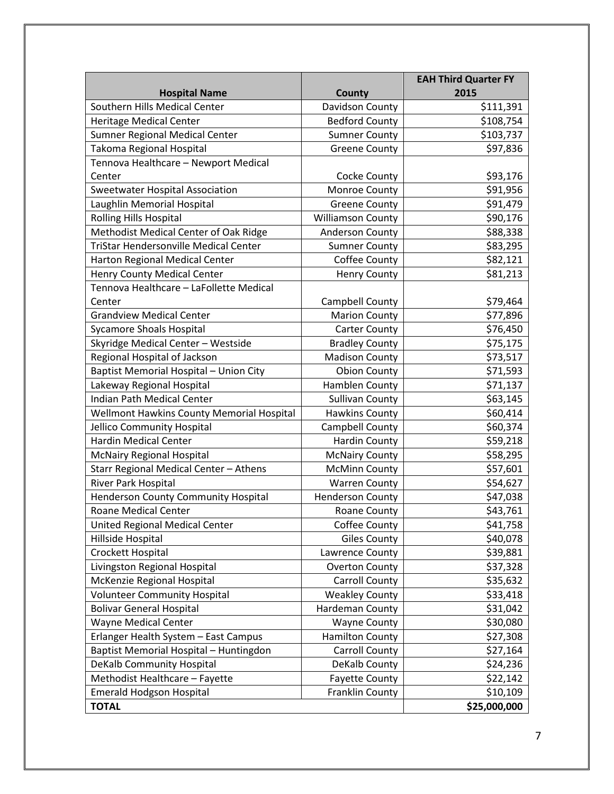|                                              |                          | <b>EAH Third Quarter FY</b> |
|----------------------------------------------|--------------------------|-----------------------------|
| <b>Hospital Name</b>                         | <b>County</b>            | 2015                        |
| Southern Hills Medical Center                | Davidson County          | \$111,391                   |
| <b>Heritage Medical Center</b>               | <b>Bedford County</b>    | \$108,754                   |
| <b>Sumner Regional Medical Center</b>        | <b>Sumner County</b>     | \$103,737                   |
| Takoma Regional Hospital                     | <b>Greene County</b>     | \$97,836                    |
| Tennova Healthcare - Newport Medical         |                          |                             |
| Center                                       | Cocke County             | \$93,176                    |
| <b>Sweetwater Hospital Association</b>       | Monroe County            | \$91,956                    |
| Laughlin Memorial Hospital                   | <b>Greene County</b>     | \$91,479                    |
| <b>Rolling Hills Hospital</b>                | <b>Williamson County</b> | \$90,176                    |
| Methodist Medical Center of Oak Ridge        | Anderson County          | \$88,338                    |
| <b>TriStar Hendersonville Medical Center</b> | <b>Sumner County</b>     | \$83,295                    |
| Harton Regional Medical Center               | Coffee County            | \$82,121                    |
| Henry County Medical Center                  | <b>Henry County</b>      | \$81,213                    |
| Tennova Healthcare - LaFollette Medical      |                          |                             |
| Center                                       | Campbell County          | \$79,464                    |
| <b>Grandview Medical Center</b>              | <b>Marion County</b>     | \$77,896                    |
| <b>Sycamore Shoals Hospital</b>              | <b>Carter County</b>     | \$76,450                    |
| Skyridge Medical Center - Westside           | <b>Bradley County</b>    | \$75,175                    |
| Regional Hospital of Jackson                 | <b>Madison County</b>    | \$73,517                    |
| Baptist Memorial Hospital - Union City       | <b>Obion County</b>      | \$71,593                    |
| Lakeway Regional Hospital                    | Hamblen County           | \$71,137                    |
| Indian Path Medical Center                   | <b>Sullivan County</b>   | \$63,145                    |
| Wellmont Hawkins County Memorial Hospital    | <b>Hawkins County</b>    | \$60,414                    |
| Jellico Community Hospital                   | Campbell County          | \$60,374                    |
| <b>Hardin Medical Center</b>                 | <b>Hardin County</b>     | \$59,218                    |
| <b>McNairy Regional Hospital</b>             | <b>McNairy County</b>    | \$58,295                    |
| Starr Regional Medical Center - Athens       | <b>McMinn County</b>     | \$57,601                    |
| River Park Hospital                          | <b>Warren County</b>     | \$54,627                    |
| <b>Henderson County Community Hospital</b>   | <b>Henderson County</b>  | \$47,038                    |
| <b>Roane Medical Center</b>                  | Roane County             | \$43,761                    |
| United Regional Medical Center               | Coffee County            | \$41,758                    |
| Hillside Hospital                            | <b>Giles County</b>      | \$40,078                    |
| Crockett Hospital                            | Lawrence County          | \$39,881                    |
| Livingston Regional Hospital                 | <b>Overton County</b>    | \$37,328                    |
| McKenzie Regional Hospital                   | Carroll County           | \$35,632                    |
| <b>Volunteer Community Hospital</b>          | <b>Weakley County</b>    | \$33,418                    |
| <b>Bolivar General Hospital</b>              | Hardeman County          | \$31,042                    |
| Wayne Medical Center                         | <b>Wayne County</b>      | \$30,080                    |
| Erlanger Health System - East Campus         | <b>Hamilton County</b>   | \$27,308                    |
| Baptist Memorial Hospital - Huntingdon       | Carroll County           | \$27,164                    |
| DeKalb Community Hospital                    | DeKalb County            | \$24,236                    |
| Methodist Healthcare - Fayette               | <b>Fayette County</b>    | \$22,142                    |
| <b>Emerald Hodgson Hospital</b>              | Franklin County          | \$10,109                    |
| <b>TOTAL</b>                                 |                          | \$25,000,000                |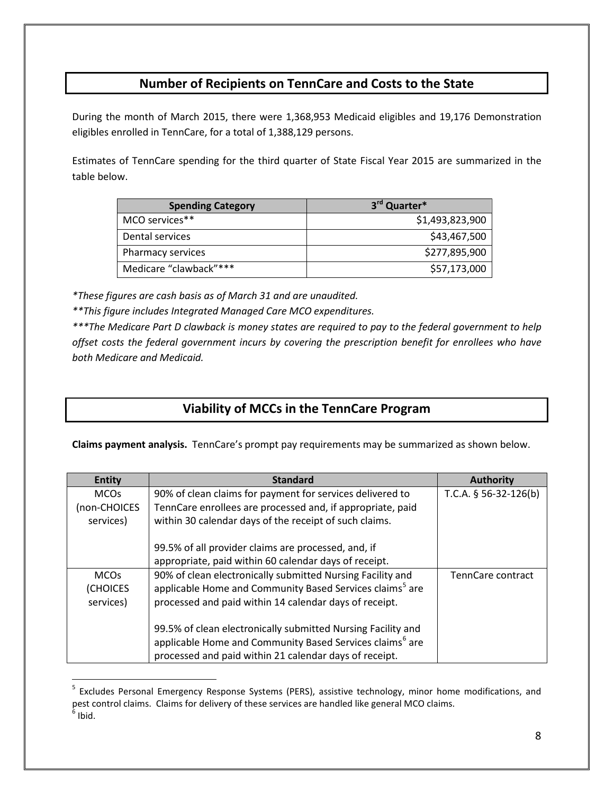## **Number of Recipients on TennCare and Costs to the State**

During the month of March 2015, there were 1,368,953 Medicaid eligibles and 19,176 Demonstration eligibles enrolled in TennCare, for a total of 1,388,129 persons.

Estimates of TennCare spending for the third quarter of State Fiscal Year 2015 are summarized in the table below.

| <b>Spending Category</b> | 3rd Quarter*    |
|--------------------------|-----------------|
| MCO services**           | \$1,493,823,900 |
| Dental services          | \$43,467,500    |
| Pharmacy services        | \$277,895,900   |
| Medicare "clawback"***   | \$57,173,000    |

*\*These figures are cash basis as of March 31 and are unaudited.*

 $\overline{a}$ 

*\*\*This figure includes Integrated Managed Care MCO expenditures.*

*\*\*\*The Medicare Part D clawback is money states are required to pay to the federal government to help offset costs the federal government incurs by covering the prescription benefit for enrollees who have both Medicare and Medicaid.*

## **Viability of MCCs in the TennCare Program**

**Claims payment analysis.** TennCare's prompt pay requirements may be summarized as shown below.

| <b>Entity</b> | <b>Standard</b>                                                      | <b>Authority</b>        |
|---------------|----------------------------------------------------------------------|-------------------------|
| <b>MCOs</b>   | 90% of clean claims for payment for services delivered to            | T.C.A. $§$ 56-32-126(b) |
| (non-CHOICES  | TennCare enrollees are processed and, if appropriate, paid           |                         |
| services)     | within 30 calendar days of the receipt of such claims.               |                         |
|               |                                                                      |                         |
|               | 99.5% of all provider claims are processed, and, if                  |                         |
|               | appropriate, paid within 60 calendar days of receipt.                |                         |
| <b>MCOs</b>   | 90% of clean electronically submitted Nursing Facility and           | TennCare contract       |
| (CHOICES      | applicable Home and Community Based Services claims <sup>5</sup> are |                         |
| services)     | processed and paid within 14 calendar days of receipt.               |                         |
|               |                                                                      |                         |
|               | 99.5% of clean electronically submitted Nursing Facility and         |                         |
|               | applicable Home and Community Based Services claims <sup>6</sup> are |                         |
|               | processed and paid within 21 calendar days of receipt.               |                         |

<span id="page-7-1"></span><span id="page-7-0"></span><sup>&</sup>lt;sup>5</sup> Excludes Personal Emergency Response Systems (PERS), assistive technology, minor home modifications, and pest control claims. Claims for delivery of these services are handled like general MCO claims.  $<sup>6</sup>$  Ibid.</sup>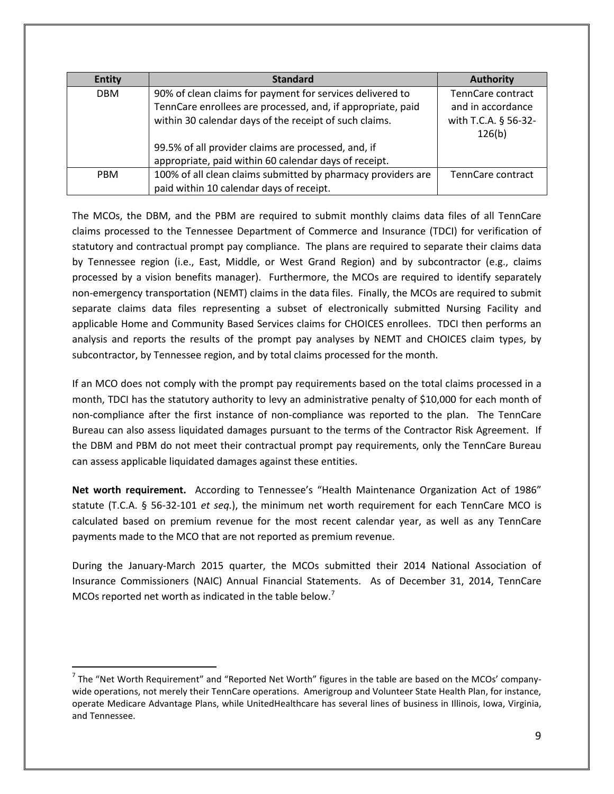| <b>Entity</b> | <b>Standard</b>                                              | <b>Authority</b>     |
|---------------|--------------------------------------------------------------|----------------------|
| <b>DBM</b>    | 90% of clean claims for payment for services delivered to    | TennCare contract    |
|               | TennCare enrollees are processed, and, if appropriate, paid  | and in accordance    |
|               | within 30 calendar days of the receipt of such claims.       | with T.C.A. § 56-32- |
|               |                                                              | 126(b)               |
|               | 99.5% of all provider claims are processed, and, if          |                      |
|               | appropriate, paid within 60 calendar days of receipt.        |                      |
| <b>PBM</b>    | 100% of all clean claims submitted by pharmacy providers are | TennCare contract    |
|               | paid within 10 calendar days of receipt.                     |                      |

The MCOs, the DBM, and the PBM are required to submit monthly claims data files of all TennCare claims processed to the Tennessee Department of Commerce and Insurance (TDCI) for verification of statutory and contractual prompt pay compliance. The plans are required to separate their claims data by Tennessee region (i.e., East, Middle, or West Grand Region) and by subcontractor (e.g., claims processed by a vision benefits manager). Furthermore, the MCOs are required to identify separately non-emergency transportation (NEMT) claims in the data files. Finally, the MCOs are required to submit separate claims data files representing a subset of electronically submitted Nursing Facility and applicable Home and Community Based Services claims for CHOICES enrollees. TDCI then performs an analysis and reports the results of the prompt pay analyses by NEMT and CHOICES claim types, by subcontractor, by Tennessee region, and by total claims processed for the month.

If an MCO does not comply with the prompt pay requirements based on the total claims processed in a month, TDCI has the statutory authority to levy an administrative penalty of \$10,000 for each month of non-compliance after the first instance of non-compliance was reported to the plan. The TennCare Bureau can also assess liquidated damages pursuant to the terms of the Contractor Risk Agreement. If the DBM and PBM do not meet their contractual prompt pay requirements, only the TennCare Bureau can assess applicable liquidated damages against these entities.

**Net worth requirement.** According to Tennessee's "Health Maintenance Organization Act of 1986" statute (T.C.A. § 56-32-101 *et seq.*), the minimum net worth requirement for each TennCare MCO is calculated based on premium revenue for the most recent calendar year, as well as any TennCare payments made to the MCO that are not reported as premium revenue.

During the January-March 2015 quarter, the MCOs submitted their 2014 National Association of Insurance Commissioners (NAIC) Annual Financial Statements. As of December 31, 2014, TennCare MCOs reported net worth as indicated in the table below.<sup>[7](#page-8-0)</sup>

<span id="page-8-0"></span> $<sup>7</sup>$  The "Net Worth Requirement" and "Reported Net Worth" figures in the table are based on the MCOs' company-</sup> wide operations, not merely their TennCare operations. Amerigroup and Volunteer State Health Plan, for instance, operate Medicare Advantage Plans, while UnitedHealthcare has several lines of business in Illinois, Iowa, Virginia, and Tennessee.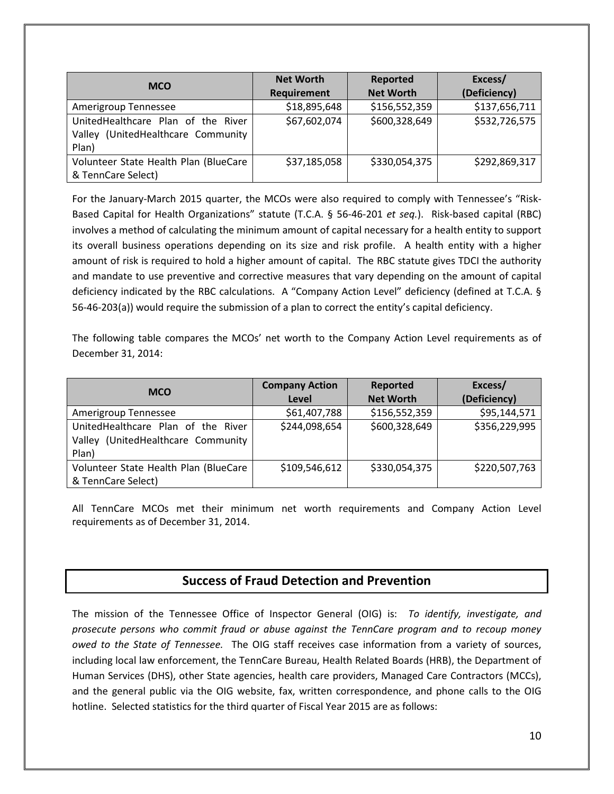| <b>MCO</b>                            | <b>Net Worth</b>   | Reported         | Excess/       |
|---------------------------------------|--------------------|------------------|---------------|
|                                       | <b>Requirement</b> | <b>Net Worth</b> | (Deficiency)  |
| Amerigroup Tennessee                  | \$18,895,648       | \$156,552,359    | \$137,656,711 |
| UnitedHealthcare Plan of the River    | \$67,602,074       | \$600,328,649    | \$532,726,575 |
| Valley (UnitedHealthcare Community    |                    |                  |               |
| Plan)                                 |                    |                  |               |
| Volunteer State Health Plan (BlueCare | \$37,185,058       | \$330,054,375    | \$292,869,317 |
| & TennCare Select)                    |                    |                  |               |

For the January-March 2015 quarter, the MCOs were also required to comply with Tennessee's "Risk-Based Capital for Health Organizations" statute (T.C.A. § 56-46-201 *et seq.*). Risk-based capital (RBC) involves a method of calculating the minimum amount of capital necessary for a health entity to support its overall business operations depending on its size and risk profile. A health entity with a higher amount of risk is required to hold a higher amount of capital. The RBC statute gives TDCI the authority and mandate to use preventive and corrective measures that vary depending on the amount of capital deficiency indicated by the RBC calculations. A "Company Action Level" deficiency (defined at T.C.A. § 56-46-203(a)) would require the submission of a plan to correct the entity's capital deficiency.

The following table compares the MCOs' net worth to the Company Action Level requirements as of December 31, 2014:

| <b>MCO</b>                            | <b>Company Action</b> | Reported         | Excess/       |
|---------------------------------------|-----------------------|------------------|---------------|
|                                       | Level                 | <b>Net Worth</b> | (Deficiency)  |
| Amerigroup Tennessee                  | \$61,407,788          | \$156,552,359    | \$95,144,571  |
| UnitedHealthcare Plan of the River    | \$244,098,654         | \$600,328,649    | \$356,229,995 |
| Valley (UnitedHealthcare Community    |                       |                  |               |
| Plan)                                 |                       |                  |               |
| Volunteer State Health Plan (BlueCare | \$109,546,612         | \$330,054,375    | \$220,507,763 |
| & TennCare Select)                    |                       |                  |               |

All TennCare MCOs met their minimum net worth requirements and Company Action Level requirements as of December 31, 2014.

## **Success of Fraud Detection and Prevention**

The mission of the Tennessee Office of Inspector General (OIG) is: *To identify, investigate, and prosecute persons who commit fraud or abuse against the TennCare program and to recoup money owed to the State of Tennessee.* The OIG staff receives case information from a variety of sources, including local law enforcement, the TennCare Bureau, Health Related Boards (HRB), the Department of Human Services (DHS), other State agencies, health care providers, Managed Care Contractors (MCCs), and the general public via the OIG website, fax, written correspondence, and phone calls to the OIG hotline. Selected statistics for the third quarter of Fiscal Year 2015 are as follows: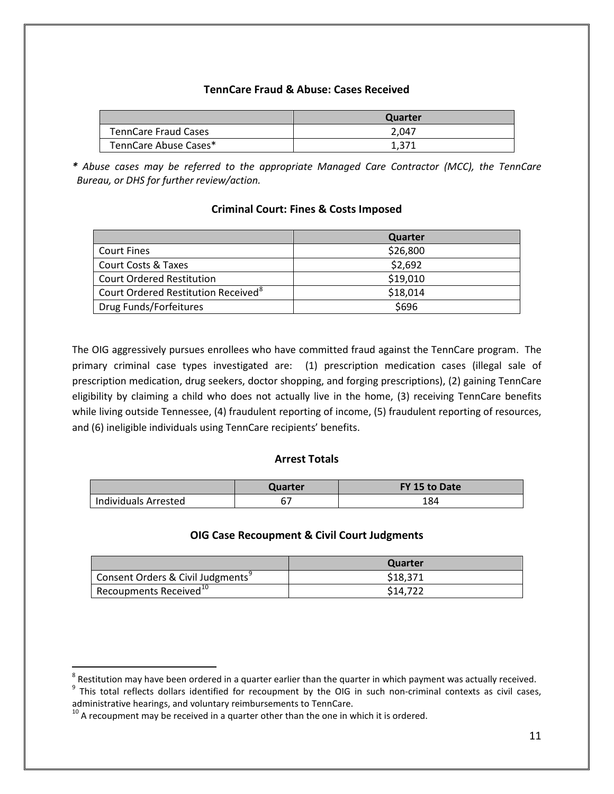## **TennCare Fraud & Abuse: Cases Received**

|                       | Quarter |
|-----------------------|---------|
| TennCare Fraud Cases  | 2.047   |
| TennCare Abuse Cases* | 1.371   |

*\* Abuse cases may be referred to the appropriate Managed Care Contractor (MCC), the TennCare Bureau, or DHS for further review/action.*

## **Criminal Court: Fines & Costs Imposed**

|                                                 | Quarter  |
|-------------------------------------------------|----------|
| <b>Court Fines</b>                              | \$26,800 |
| <b>Court Costs &amp; Taxes</b>                  | \$2,692  |
| <b>Court Ordered Restitution</b>                | \$19,010 |
| Court Ordered Restitution Received <sup>8</sup> | \$18,014 |
| Drug Funds/Forfeitures                          | \$696    |

The OIG aggressively pursues enrollees who have committed fraud against the TennCare program. The primary criminal case types investigated are: (1) prescription medication cases (illegal sale of prescription medication, drug seekers, doctor shopping, and forging prescriptions), (2) gaining TennCare eligibility by claiming a child who does not actually live in the home, (3) receiving TennCare benefits while living outside Tennessee, (4) fraudulent reporting of income, (5) fraudulent reporting of resources, and (6) ineligible individuals using TennCare recipients' benefits.

### **Arrest Totals**

|                      | Quarter | FY 15 to Date |
|----------------------|---------|---------------|
| Individuals Arrested |         | 184           |

### **OIG Case Recoupment & Civil Court Judgments**

|                                    | Quarter  |
|------------------------------------|----------|
| Consent Orders & Civil Judgments   | \$18.371 |
| Recoupments Received <sup>10</sup> | \$14.722 |

<span id="page-10-1"></span><span id="page-10-0"></span> $\degree$  Restitution may have been ordered in a quarter earlier than the quarter in which payment was actually received.<br> $\degree$  This total reflects dollars identified for recoupment by the OIG in such non-criminal contexts as c

<span id="page-10-2"></span> $10$  A recoupment may be received in a quarter other than the one in which it is ordered.